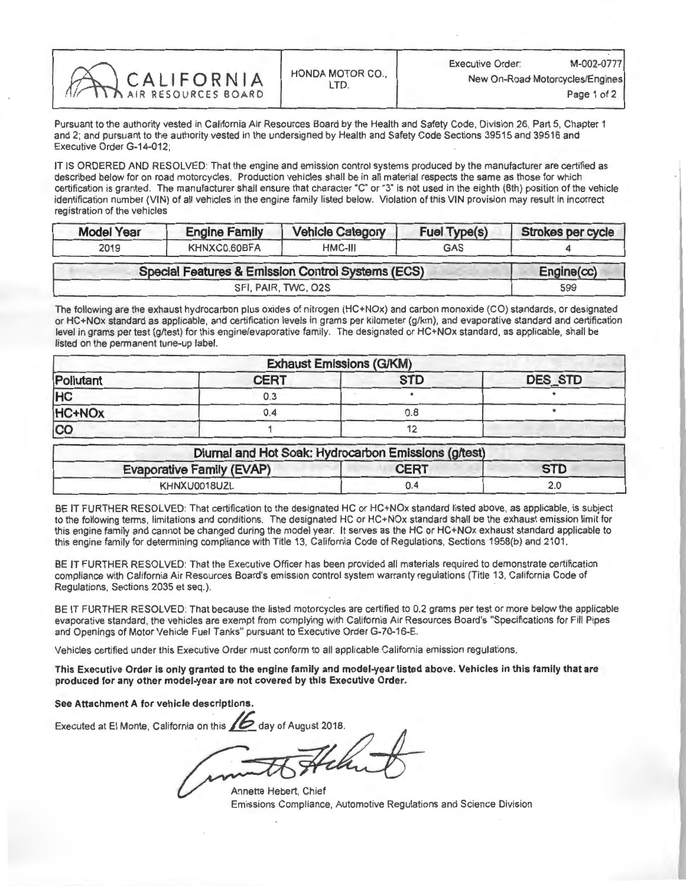| CALIFORNIA |                        | Executive Order:                | M-002-077   |
|------------|------------------------|---------------------------------|-------------|
|            | <b>HONDA MOTOR CO.</b> | New On-Road Motorcycles/Engines |             |
|            |                        |                                 | Page 1 of 2 |

Pursuant to the authority vested in California Air Resources Board by the Health and Safety Code, Division 26, Part 5, Chapter 1 and 2; and pursuant to the authority vested in the undersigned by Health and Safety Code Sections 39515 and 39516 and Executive Order G-14-012;

IT IS ORDERED AND RESOLVED: That the engine and emission control systems produced by the manufacturer are certified as<br>described below for on road motorcycles. Production vehicles shall be in all material respects the same certification is granted. The manufacturer shall ensure that character "C" or "3" is not used in the eighth (8th) position of the vehicle certification is granted. The manufacturer shall ensure that character "C" or "3" is not used in the eighth (8th) position of the vehicle identification number (VIN) of all vehicles in the engine family listed below. Violation of this VIN provision may result in incorrect registration of the vehicles

| <b>Model Year</b> | <b>Engine Family</b>                                         | <b>Vehicle Category</b> | Fuel Type(s) | Strokes per cycle |  |
|-------------------|--------------------------------------------------------------|-------------------------|--------------|-------------------|--|
| 2019              | KHNXC0.60BFA                                                 | HMC-III                 | <b>GAS</b>   |                   |  |
|                   | <b>Special Features &amp; Emission Control Systems (ECS)</b> |                         |              |                   |  |
|                   | SFI, PAIR, TWC, O2S                                          |                         |              | 599               |  |

The following are the exhaust hydrocarbon plus oxides of nitrogen (HC+NOx) and carbon monoxide (CO) standards, or designated or HC+NOx standard as applicable, and certification levels in grams per kilometer (g/km), and evaporative standard and certification level in grams per test (g/test) for this engine/evaporative family. The designated or HC+NOx standard, as applicable, shall be listed on the permanent tune-up label.

| <b>Exhaust Emissions (G/KM)</b> |             |            |                |
|---------------------------------|-------------|------------|----------------|
| Pollutant                       | <b>CERT</b> | <b>STD</b> | <b>DES STD</b> |
| <b>HC</b>                       | 0.3         |            |                |
| HC+NO <sub>x</sub>              | 0.4         | 0.8        |                |
| co                              |             |            |                |

| Diumal and Hot Soak: Hydrocarbon Emissions (g/test) |             |            |  |  |
|-----------------------------------------------------|-------------|------------|--|--|
| <b>Evaporative Family (EVAP)</b>                    | <b>CERT</b> | <b>STD</b> |  |  |
| KHNXU0018UZL                                        |             | 2.0        |  |  |

BE IT FURTHER RESOLVED: That certification to the designated HC or HC+NOx standard listed above, as applicable, is subject<br>to the following terms, limitations and conditions. The designated HC or HC+NOx standard shall be t this engine family and cannot be changed during the model year. It serves as the HC or HC+NOx exhaust standard applicable to this engine family and cannot be changed out in  $\mathbb{R}$  the model year. It serves as the HC or HC+NOx exhaust standard applicable to  $\mathbb{R}$  and  $\mathbb{R}$  and  $\mathbb{R}$  and  $\mathbb{R}$  applicable to  $\mathbb{R}$  and  $\mathbb{R}$  app this engine family for determining compliance with Title 13, California Code of Regulations, Sections 1958(b) and 2101.

BE IT FURTHER RESOLVED: That the Executive Officer has been provided all materials required to demonstrate certification compliance with California Air Resources Board's emission control system warranty regulations (Title 13, California Code of Regulations, Sections 2035 et seq.).

BE IT FURTHER RESOLVED: That because the listed motorcycles are certified to 0.2 grams per test or more below the applicable evaporative standard, the vehicles are exempt from complying with California Air Resources Board's "Specifications for Fill Pipes and Openings of Motor Vehicle Fuel Tanks" pursuant to Executive Order G-70-16-E.

Vehicles certified under this Executive Order must conform to all applicable California emission regulations.

This Executive Order is only granted to the engine family and model-year listed above. Vehicles in this family that are produced for any other model-year are not covered by this Executive Order.

See Attachment A for vehicle descriptions.

Executed at El Monte, California on this 2 day of August 2018.

Annette Hebert, Chief Emissions Compliance, Automotive Regulations and Science Division